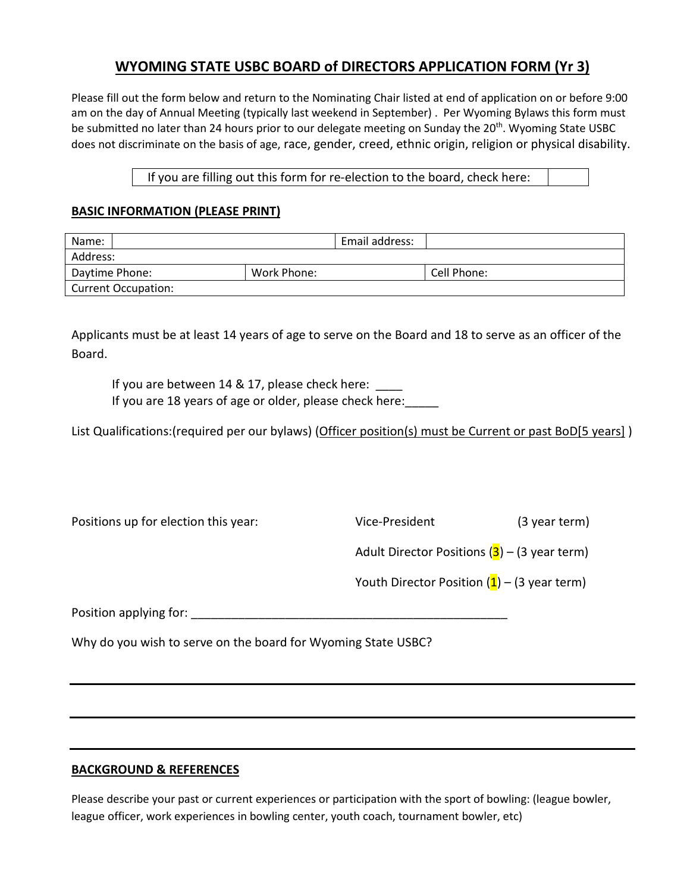# **WYOMING STATE USBC BOARD of DIRECTORS APPLICATION FORM (Yr 3)**

Please fill out the form below and return to the Nominating Chair listed at end of application on or before 9:00 am on the day of Annual Meeting (typically last weekend in September) . Per Wyoming Bylaws this form must be submitted no later than 24 hours prior to our delegate meeting on Sunday the 20<sup>th</sup>. Wyoming State USBC does not discriminate on the basis of age, race, gender, creed, ethnic origin, religion or physical disability.

If you are filling out this form for re-election to the board, check here:

### **BASIC INFORMATION (PLEASE PRINT)**

| Name:                      | Email address: |  |             |  |
|----------------------------|----------------|--|-------------|--|
| Address:                   |                |  |             |  |
| Daytime Phone:             | Work Phone:    |  | Cell Phone: |  |
| <b>Current Occupation:</b> |                |  |             |  |

Applicants must be at least 14 years of age to serve on the Board and 18 to serve as an officer of the Board.

If you are between 14 & 17, please check here: If you are 18 years of age or older, please check here:

List Qualifications:(required per our bylaws) (Officer position(s) must be Current or past BoD[5 years] )

Positions up for election this year: Vice-President (3 year term)

Adult Director Positions  $(3)$  – (3 year term)

Youth Director Position  $(1)$  – (3 year term)

Position applying for:

Why do you wish to serve on the board for Wyoming State USBC?

#### **BACKGROUND & REFERENCES**

Please describe your past or current experiences or participation with the sport of bowling: (league bowler, league officer, work experiences in bowling center, youth coach, tournament bowler, etc)